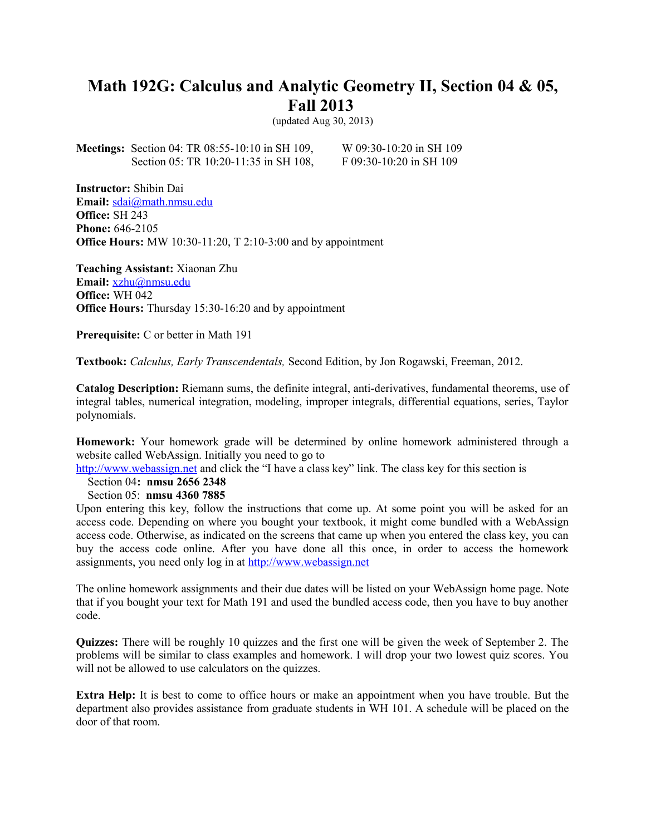## **Math 192G: Calculus and Analytic Geometry II, Section 04 & 05, Fall 2013**

(updated Aug 30, 2013)

**Meetings:** Section 04: TR 08:55-10:10 in SH 109, W 09:30-10:20 in SH 109 Section 05: TR 10:20-11:35 in SH 108, F 09:30-10:20 in SH 109

**Instructor:** Shibin Dai **Email:** [sdai@math.nmsu.edu](mailto:sdai@math.nmsu.edu) **Office:** SH 243 **Phone:** 646-2105 **Office Hours:** MW 10:30-11:20, T 2:10-3:00 and by appointment

**Teaching Assistant:** Xiaonan Zhu **Email:** [xzhu@nmsu.edu](mailto:xzhu@nmsu.edu) **Office:** WH 042 **Office Hours:** Thursday 15:30-16:20 and by appointment

**Prerequisite:** C or better in Math 191

**Textbook:** *Calculus, Early Transcendentals,* Second Edition, by Jon Rogawski, Freeman, 2012.

**Catalog Description:** Riemann sums, the definite integral, anti-derivatives, fundamental theorems, use of integral tables, numerical integration, modeling, improper integrals, differential equations, series, Taylor polynomials.

**Homework:** Your homework grade will be determined by online homework administered through a website called WebAssign. Initially you need to go to

[http://www.webassign.net](http://www.webassign.net/) and click the "I have a class key" link. The class key for this section is

Section 04**: nmsu 2656 2348** 

Section 05: **nmsu 4360 7885**

Upon entering this key, follow the instructions that come up. At some point you will be asked for an access code. Depending on where you bought your textbook, it might come bundled with a WebAssign access code. Otherwise, as indicated on the screens that came up when you entered the class key, you can buy the access code online. After you have done all this once, in order to access the homework assignments, you need only log in at [http://www.webassign.net](http://www.webassign.net/)

The online homework assignments and their due dates will be listed on your WebAssign home page. Note that if you bought your text for Math 191 and used the bundled access code, then you have to buy another code.

**Quizzes:** There will be roughly 10 quizzes and the first one will be given the week of September 2. The problems will be similar to class examples and homework. I will drop your two lowest quiz scores. You will not be allowed to use calculators on the quizzes.

**Extra Help:** It is best to come to office hours or make an appointment when you have trouble. But the department also provides assistance from graduate students in WH 101. A schedule will be placed on the door of that room.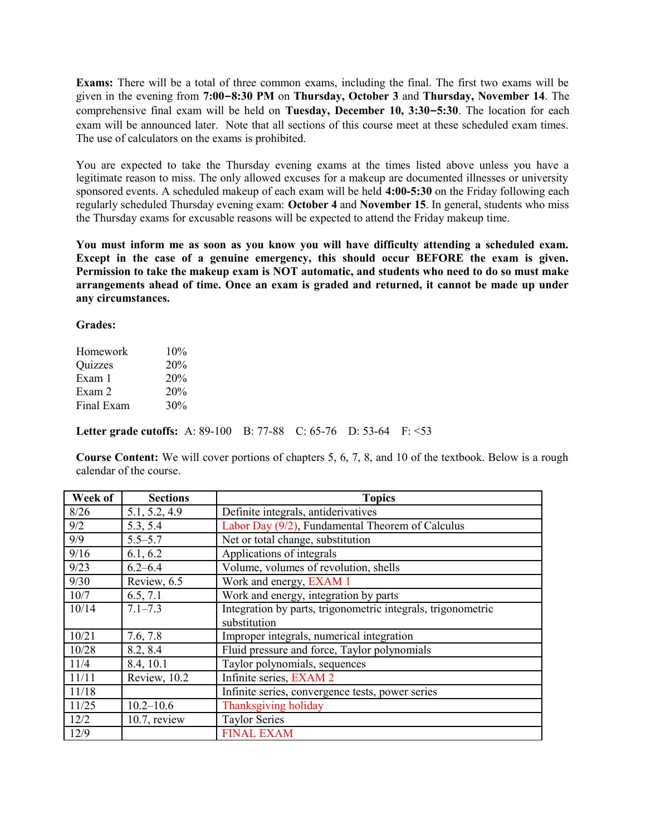**Exams:** There will be a total of three common exams, including the final. The first two exams will be given in the evening from **7:00–8:30 PM** on **Thursday, October 3** and **Thursday, November 14**. The comprehensive final exam will be held on **Tuesday, December 10, 3:30–5:30**. The location for each exam will be announced later. Note that all sections of this course meet at these scheduled exam times. The use of calculators on the exams is prohibited.

You are expected to take the Thursday evening exams at the times listed above unless you have a legitimate reason to miss. The only allowed excuses for a makeup are documented illnesses or university sponsored events. A scheduled makeup of each exam will be held **4:00-5:30** on the Friday following each regularly scheduled Thursday evening exam: **October 4** and **November 15**. In general, students who miss the Thursday exams for excusable reasons will be expected to attend the Friday makeup time.

**You must inform me as soon as you know you will have difficulty attending a scheduled exam. Except in the case of a genuine emergency, this should occur BEFORE the exam is given. Permission to take the makeup exam is NOT automatic, and students who need to do so must make arrangements ahead of time. Once an exam is graded and returned, it cannot be made up under any circumstances.**

## **Grades:**

| Homework   | 10% |
|------------|-----|
| Quizzes    | 20% |
| Exam 1     | 20% |
| Exam 2     | 20% |
| Final Exam | 30% |

**Letter grade cutoffs:** A: 89-100 B: 77-88 C: 65-76 D: 53-64 F: <53

**Course Content:** We will cover portions of chapters 5, 6, 7, 8, and 10 of the textbook. Below is a rough calendar of the course.

| Week of | <b>Sections</b> | <b>Topics</b>                                                |
|---------|-----------------|--------------------------------------------------------------|
| 8/26    | 5.1, 5.2, 4.9   | Definite integrals, antiderivatives                          |
| 9/2     | 5.3, 5.4        | Labor Day (9/2), Fundamental Theorem of Calculus             |
| 9/9     | $5.5 - 5.7$     | Net or total change, substitution                            |
| 9/16    | 6.1, 6.2        | Applications of integrals                                    |
| 9/23    | $6.2 - 6.4$     | Volume, volumes of revolution, shells                        |
| 9/30    | Review, 6.5     | Work and energy, EXAM 1                                      |
| 10/7    | 6.5, 7.1        | Work and energy, integration by parts                        |
| 10/14   | $7.1 - 7.3$     | Integration by parts, trigonometric integrals, trigonometric |
|         |                 | substitution                                                 |
| 10/21   | 7.6, 7.8        | Improper integrals, numerical integration                    |
| 10/28   | 8.2, 8.4        | Fluid pressure and force, Taylor polynomials                 |
| 11/4    | 8.4, 10.1       | Taylor polynomials, sequences                                |
| 11/11   | Review, 10.2    | Infinite series, EXAM 2                                      |
| 11/18   |                 | Infinite series, convergence tests, power series             |
| 11/25   | $10.2 - 10.6$   | Thanksgiving holiday                                         |
| 12/2    | $10.7$ , review | <b>Taylor Series</b>                                         |
| 12/9    |                 | <b>FINAL EXAM</b>                                            |